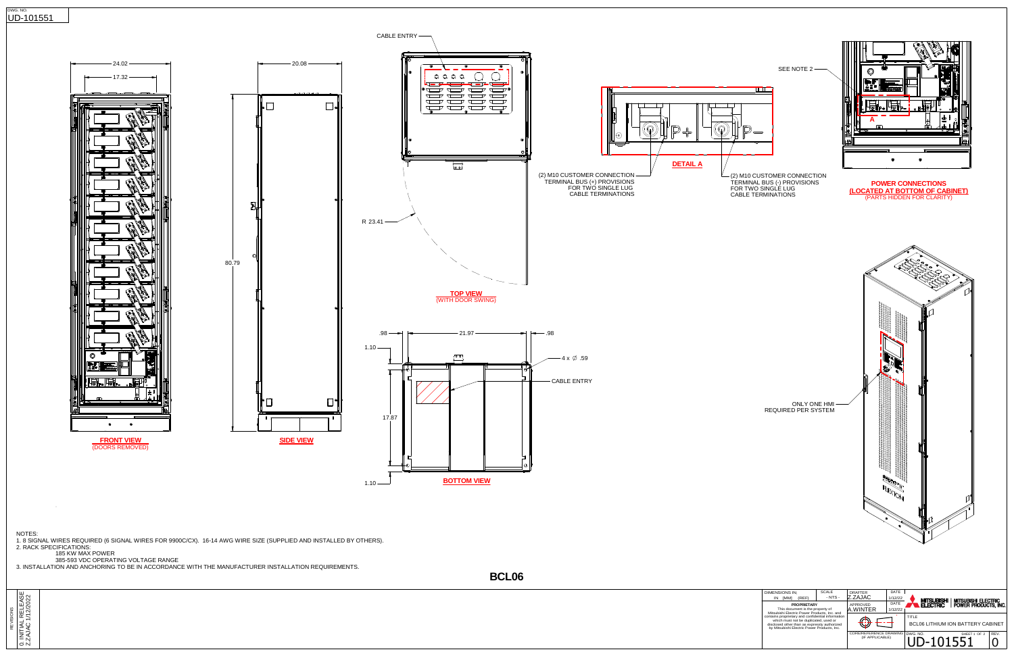DWG. NO.

DWG. NO.  $\overline{0}$  -101551  $\overline{0}$  REV.

CORE/REFERENCE DRAWING<br>(IF APPLICABLE)

 $1 \quad 0$